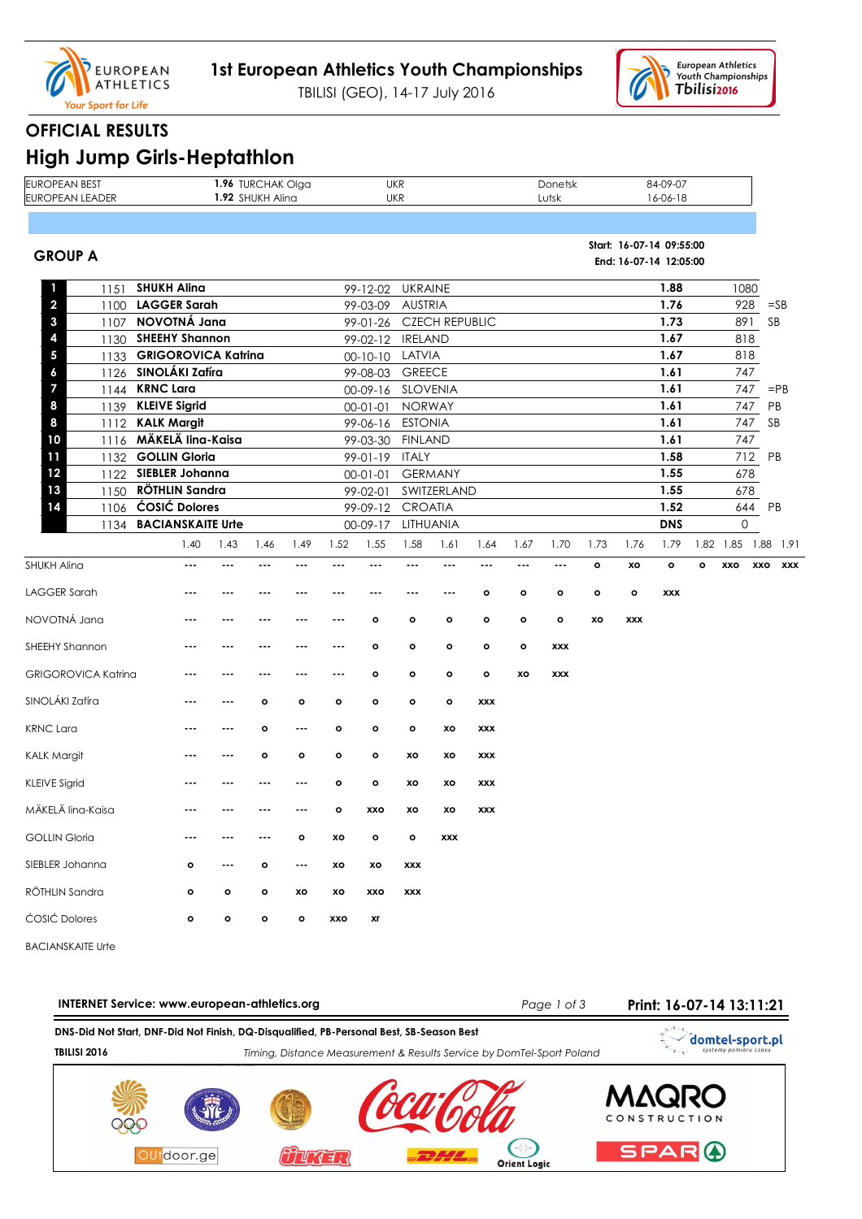

TBILISI (GEO), 14-17 July 2016



## **OFFICIAL RESULTS**

| <b>EUROPEAN BEST</b><br><b>EUROPEAN LEADER</b> |                                                |         | 1.96 TURCHAK Olga<br>1.92 SHUKH Alina |              |         |                                    | <b>UKR</b><br><b>UKR</b> |                       |                          |              | Donetsk<br>Lutsk |         |            | 84-09-07<br>16-06-18                               |   |                     |                   |
|------------------------------------------------|------------------------------------------------|---------|---------------------------------------|--------------|---------|------------------------------------|--------------------------|-----------------------|--------------------------|--------------|------------------|---------|------------|----------------------------------------------------|---|---------------------|-------------------|
| <b>GROUP A</b>                                 |                                                |         |                                       |              |         |                                    |                          |                       |                          |              |                  |         |            | Start: 16-07-14 09:55:00<br>End: 16-07-14 12:05:00 |   |                     |                   |
| 1<br>1151                                      | <b>SHUKH Alina</b>                             |         |                                       |              |         | 99-12-02                           | <b>UKRAINE</b>           |                       |                          |              |                  |         |            | 1.88                                               |   | 1080                |                   |
| $\overline{\mathbf{c}}$<br>1100                | <b>LAGGER Sarah</b>                            |         |                                       |              |         | 99-03-09                           | <b>AUSTRIA</b>           |                       |                          |              |                  |         |            | 1.76                                               |   | 928                 | $=$ SB            |
| 3<br>1107                                      | NOVOTNÁ Jana<br><b>SHEEHY Shannon</b>          |         |                                       |              |         | 99-01-26                           |                          | <b>CZECH REPUBLIC</b> |                          |              |                  |         |            | 1.73<br>1.67                                       |   | 891                 | SB                |
| 4<br>1130<br>5<br>1133                         | <b>GRIGOROVICA Katrina</b>                     |         |                                       |              |         | 99-02-12 IRELAND<br>$00 - 10 - 10$ | LATVIA                   |                       |                          |              |                  |         |            | 1.67                                               |   | 818<br>818          |                   |
| 1126<br>6                                      | SINOLÁKI Zafíra                                |         |                                       |              |         | 99-08-03                           | <b>GREECE</b>            |                       |                          |              |                  |         |            | 1.61                                               |   | 747                 |                   |
| 7<br>1144                                      | <b>KRNC Lara</b>                               |         |                                       |              |         | 00-09-16 SLOVENIA                  |                          |                       |                          |              |                  |         |            | 1.61                                               |   | 747                 | $=$ PB            |
| 8<br>1139                                      | <b>KLEIVE Sigrid</b>                           |         |                                       |              |         | $00 - 01 - 01$                     | <b>NORWAY</b>            |                       |                          |              |                  |         |            | 1.61                                               |   | 747                 | PB                |
| 8<br>1112                                      | <b>KALK Margit</b>                             |         |                                       |              |         | 99-06-16                           | <b>ESTONIA</b>           |                       |                          |              |                  |         |            | 1.61                                               |   | 747                 | SB                |
| 10<br>1116                                     | MÄKELÄ lina-Kaisa                              |         |                                       |              |         | 99-03-30                           | <b>FINLAND</b>           |                       |                          |              |                  |         |            | 1.61                                               |   | 747                 |                   |
| 11<br>1132<br>12                               | <b>GOLLIN Gloria</b><br><b>SIEBLER Johanna</b> |         |                                       |              |         | $99-01-19$                         | <b>ITALY</b>             | <b>GERMANY</b>        |                          |              |                  |         |            | 1.58<br>1.55                                       |   | 712<br>678          | PB                |
| 1122<br>13<br>1150                             | <b>RÖTHLIN Sandra</b>                          |         |                                       |              |         | $00 - 01 - 01$<br>99-02-01         |                          | SWITZERLAND           |                          |              |                  |         |            | 1.55                                               |   | 678                 |                   |
| 14<br>1106                                     | <b>ĆOSIĆ Dolores</b>                           |         |                                       |              |         | 99-09-12                           | <b>CROATIA</b>           |                       |                          |              |                  |         |            | 1.52                                               |   | 644                 | PB                |
| 1134                                           | <b>BACIANSKAITE Urle</b>                       |         |                                       |              |         | $00-09-17$                         | LITHUANIA                |                       |                          |              |                  |         |            | <b>DNS</b>                                         |   | 0                   |                   |
|                                                | 1.40                                           | 1.43    | 1.46                                  | 1.49         | 1.52    | 1.55                               | 1.58                     | 1.61                  | 1.64                     | 1.67         | 1.70             | 1.73    | 1.76       | 1.79                                               |   | 1.82 1.85 1.88 1.91 |                   |
| <b>SHUKH Alina</b>                             | $\overline{\phantom{a}}$                       | ---     |                                       | ---          | ---     | $\overline{\phantom{a}}$           | ---                      | ---                   | $\overline{\phantom{a}}$ | ---          | ---              | $\circ$ | XO         | $\circ$                                            | o | XXO                 | XXO<br><b>XXX</b> |
| <b>LAGGER Sarah</b>                            |                                                |         |                                       | $- - -$      | ---     |                                    |                          |                       | ۰                        | $\mathbf{o}$ | $\circ$          | $\circ$ | $\circ$    | <b>XXX</b>                                         |   |                     |                   |
| NOVOTNÁ Jana                                   | $- - -$                                        |         |                                       | $- - -$      | ---     | $\circ$                            | $\circ$                  | $\circ$               | $\mathbf{o}$             | $\mathbf{o}$ | $\mathbf{o}$     | xo      | <b>XXX</b> |                                                    |   |                     |                   |
| SHEEHY Shannon                                 |                                                |         |                                       |              | ---     | $\circ$                            | o                        | $\circ$               | o                        | $\mathbf{o}$ | <b>XXX</b>       |         |            |                                                    |   |                     |                   |
| <b>GRIGOROVICA Katrina</b>                     | $- - -$                                        | ---     | $- - -$                               | $- - -$      | $- - -$ | $\circ$                            | $\circ$                  | $\mathbf{o}$          | $\mathbf{o}$             | xo           | <b>XXX</b>       |         |            |                                                    |   |                     |                   |
| SINOLÁKI Zafíra                                |                                                |         | o                                     | o            | o       | $\circ$                            | $\circ$                  | $\circ$               | <b>XXX</b>               |              |                  |         |            |                                                    |   |                     |                   |
| <b>KRNC Lara</b>                               | $- - -$                                        | ---     | $\circ$                               | $- - -$      | o       | $\mathbf{o}$                       | $\mathbf{o}$             | хo                    | <b>XXX</b>               |              |                  |         |            |                                                    |   |                     |                   |
| <b>KALK Margit</b>                             |                                                |         | o                                     | o            | o       | ۰                                  | XO                       | xo                    | XXX                      |              |                  |         |            |                                                    |   |                     |                   |
| <b>KLEIVE Sigrid</b>                           | $- - -$                                        |         |                                       |              | $\circ$ | $\mathbf{o}$                       | XO                       | xo                    | <b>XXX</b>               |              |                  |         |            |                                                    |   |                     |                   |
| MÄKELÄ lina-Kaisa                              |                                                |         |                                       |              | o       | xxo                                | XO                       | xo                    | <b>XXX</b>               |              |                  |         |            |                                                    |   |                     |                   |
| <b>GOLLIN Gloria</b>                           |                                                |         |                                       | $\mathbf{o}$ | XO      | $\mathbf{o}$                       | $\circ$                  | <b>XXX</b>            |                          |              |                  |         |            |                                                    |   |                     |                   |
| SIEBLER Johanna                                | $\mathbf{o}$                                   | ---     | o                                     | ---          | xo      | xo                                 | XXX                      |                       |                          |              |                  |         |            |                                                    |   |                     |                   |
| RÖTHLIN Sandra                                 | $\mathbf{o}$                                   | $\circ$ | o                                     | XO           | xo      | XXO                                | XXX                      |                       |                          |              |                  |         |            |                                                    |   |                     |                   |
| <b>ĆOSIĆ Dolores</b>                           | $\circ$                                        | o       | o                                     | $\mathbf{o}$ | XXO     | xr                                 |                          |                       |                          |              |                  |         |            |                                                    |   |                     |                   |
|                                                |                                                |         |                                       |              |         |                                    |                          |                       |                          |              |                  |         |            |                                                    |   |                     |                   |

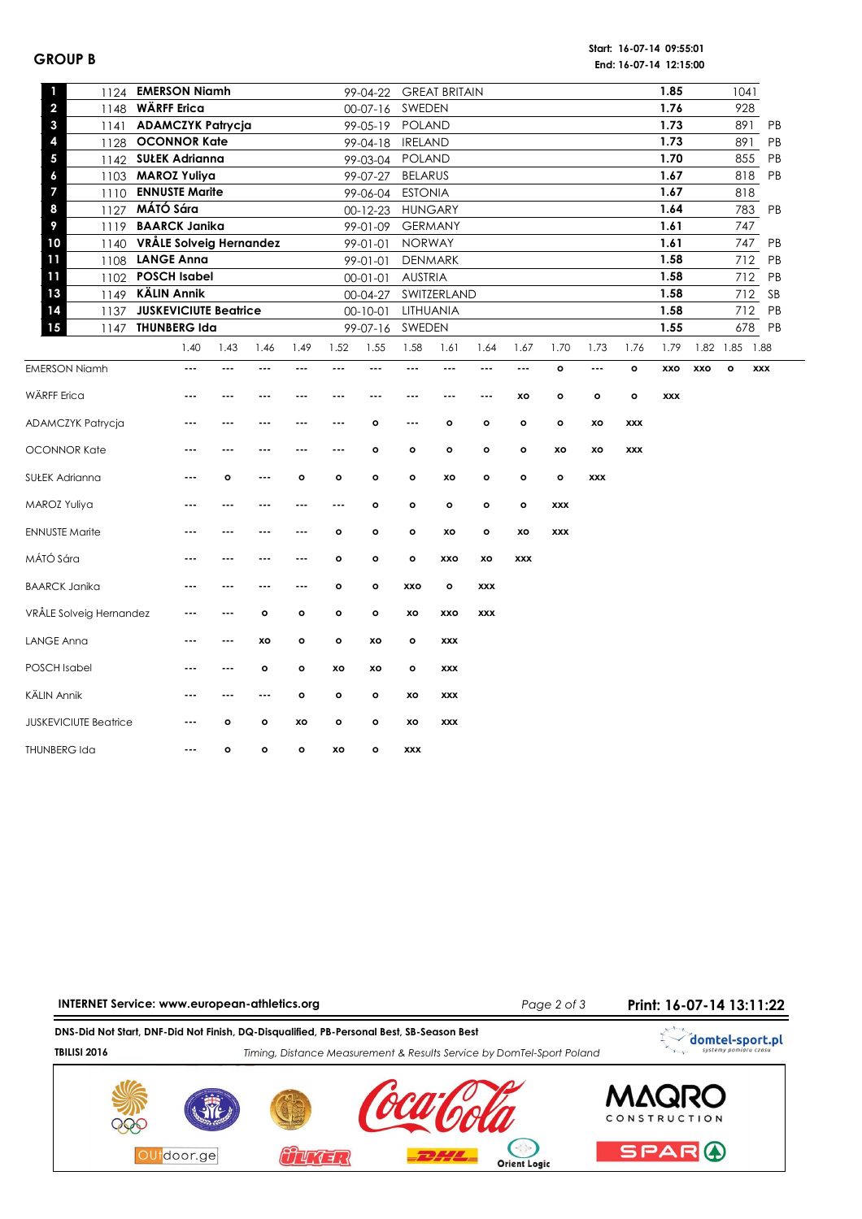## **GROUP B**

**Start: 16-07-14 09:55:01 End: 16-07-14 12:15:00**

| 1<br>1124                       | <b>EMERSON Niamh</b>         |          |         |              |              | 99-04-22       |                          | <b>GREAT BRITAIN</b> |            |              |              |            |              | 1.85       |     | 1041           |            |    |
|---------------------------------|------------------------------|----------|---------|--------------|--------------|----------------|--------------------------|----------------------|------------|--------------|--------------|------------|--------------|------------|-----|----------------|------------|----|
| $\overline{\mathbf{c}}$<br>1148 | <b>WÄRFF Erica</b>           |          |         |              |              | $00-07-16$     | SWEDEN                   |                      |            |              |              |            |              | 1.76       |     | 928            |            |    |
| 3<br>1141                       | <b>ADAMCZYK Patrycja</b>     |          |         |              |              | 99-05-19       | POLAND                   |                      |            |              |              |            |              | 1.73       |     | 891            |            | PB |
| 4                               | 1128 OCONNOR Kate            |          |         |              |              | 99-04-18       | <b>IRELAND</b>           |                      |            |              |              |            |              | 1.73       |     | 891            |            | PB |
| 5                               | 1142 SUŁEK Adrianna          |          |         |              |              | 99-03-04       | <b>POLAND</b>            |                      |            |              |              |            |              | 1.70       |     |                | 855        | PB |
| 6                               | 1103 MAROZ Yuliya            |          |         |              |              | 99-07-27       | <b>BELARUS</b>           |                      |            |              |              |            |              | 1.67       |     |                | 818        | PB |
| 7<br>1110                       | <b>ENNUSTE Marite</b>        |          |         |              |              | 99-06-04       | <b>ESTONIA</b>           |                      |            |              |              |            |              | 1.67       |     | 818            |            |    |
| 8                               | 1127 MÁTÓ Sára               |          |         |              |              | 00-12-23       |                          | <b>HUNGARY</b>       |            |              |              |            |              | 1.64       |     |                | 783 PB     |    |
| 9<br>1119                       | <b>BAARCK Janika</b>         |          |         |              |              | 99-01-09       |                          | <b>GERMANY</b>       |            |              |              |            |              | 1.61       |     | 747            |            |    |
| 10                              | 1140 VRÅLE Solveig Hernandez |          |         |              |              | 99-01-01       | <b>NORWAY</b>            |                      |            |              |              |            |              | 1.61       |     | 747            |            | PB |
| 11                              | 1108 LANGE Anna              |          |         |              |              | 99-01-01       |                          | <b>DENMARK</b>       |            |              |              |            |              | 1.58       |     | 712            |            | PB |
| 11                              | 1102 POSCH Isabel            |          |         |              |              | $00-01-01$     | <b>AUSTRIA</b>           |                      |            |              |              |            |              | 1.58       |     |                | 712        | PB |
| 13                              | 1149 KÄLIN Annik             |          |         |              |              | 00-04-27       |                          | SWITZERLAND          |            |              |              |            |              | 1.58       |     |                | 712        | SB |
| 14<br>1137                      | <b>JUSKEVICIUTE Beatrice</b> |          |         |              |              | $00 - 10 - 01$ |                          | LITHUANIA            |            |              |              |            |              | 1.58       |     |                | 712        | PB |
| 15                              | 1147 THUNBERG Ida            |          |         |              |              | 99-07-16       | SWEDEN                   |                      |            |              |              |            |              | 1.55       |     |                | 678 PB     |    |
|                                 | 1.40                         | 1.43     | 1.46    | 1.49         | 1.52         | 1.55           | 1.58                     | 1.61                 | 1.64       | 1.67         | 1.70         | 1.73       | 1.76         | 1.79       |     | 1.82 1.85 1.88 |            |    |
| <b>EMERSON Niamh</b>            | $---$                        | $---$    | ---     | ---          | ---          | $---$          | $---$                    | ---                  | $---$      | ---          | $\mathbf{o}$ | $---$      | $\mathbf{o}$ | xxo        | xxo | $\mathbf{o}$   | <b>XXX</b> |    |
|                                 |                              |          |         |              |              |                |                          |                      |            |              |              |            |              |            |     |                |            |    |
| WÄRFF Erica                     | $- - -$                      | $\cdots$ | ---     | ---          |              | $- - -$        | $- - -$                  | $- - -$              | $- - -$    | xo           | $\mathbf{o}$ | o          | $\mathbf{o}$ | <b>XXX</b> |     |                |            |    |
| ADAMCZYK Patrycja               | ---                          | $- - -$  | $- - -$ | ---          | $- - -$      | $\circ$        | $\overline{\phantom{a}}$ | o                    | $\circ$    | $\circ$      | $\mathbf{o}$ | xo         | <b>XXX</b>   |            |     |                |            |    |
| OCONNOR Kate                    | ---                          | $--$     | ---     | ---          | $- - -$      | $\circ$        | $\circ$                  | o                    | $\circ$    | $\circ$      | XO           | XO         | <b>XXX</b>   |            |     |                |            |    |
| SUŁEK Adrianna                  | $- - -$                      | o        | $- - -$ | $\circ$      | $\circ$      | $\mathbf{o}$   | $\circ$                  | xo                   | $\circ$    | $\mathbf{o}$ | $\mathbf{o}$ | <b>XXX</b> |              |            |     |                |            |    |
| MAROZ Yuliya                    | $- - -$                      | $- - -$  | $- - -$ | ---          | $- - -$      | $\mathbf{o}$   | $\circ$                  | o                    | $\circ$    | $\circ$      | <b>XXX</b>   |            |              |            |     |                |            |    |
| <b>ENNUSTE Marite</b>           | $- - -$                      | $- - -$  | $- - -$ | ---          | $\mathbf{o}$ | $\mathbf{o}$   | $\mathbf{o}$             | XO                   | $\circ$    | XO           | <b>XXX</b>   |            |              |            |     |                |            |    |
| MÁTÓ Sára                       | $- - -$                      | $- - -$  | $- - -$ | $- - -$      | $\circ$      | $\mathbf{o}$   | $\mathbf{o}$             | xxo                  | xo         | <b>XXX</b>   |              |            |              |            |     |                |            |    |
| <b>BAARCK Janika</b>            | $\cdots$                     | $--$     | ---     | $- - -$      | $\circ$      | $\mathbf{o}$   | <b>XXO</b>               | o                    | <b>XXX</b> |              |              |            |              |            |     |                |            |    |
| VRÅLE Solveig Hernandez         | $\ddotsc$                    | $---$    | $\circ$ | $\circ$      | $\circ$      | $\mathbf{o}$   | XO                       | xxo                  | <b>XXX</b> |              |              |            |              |            |     |                |            |    |
| <b>LANGE Anna</b>               | ---                          | $---$    | XO      | $\circ$      | $\circ$      | XO             | $\mathbf{o}$             | <b>XXX</b>           |            |              |              |            |              |            |     |                |            |    |
| <b>POSCH Isabel</b>             | $- - -$                      | $---$    | $\circ$ | $\circ$      | XO           | XO             | $\mathbf{o}$             | <b>XXX</b>           |            |              |              |            |              |            |     |                |            |    |
| KÄLIN Annik                     | $- - -$                      | $- - -$  | $- - -$ | $\mathbf{o}$ | $\circ$      | $\mathbf{o}$   | XO                       | <b>XXX</b>           |            |              |              |            |              |            |     |                |            |    |
| <b>JUSKEVICIUTE Beatrice</b>    | $\cdots$                     | ۰        | $\circ$ | xo           | $\circ$      | $\circ$        | XO                       | <b>XXX</b>           |            |              |              |            |              |            |     |                |            |    |
| <b>THUNBERG Ida</b>             | $- - -$                      | o        | $\circ$ | $\circ$      | XO           | $\mathbf{o}$   | <b>XXX</b>               |                      |            |              |              |            |              |            |     |                |            |    |



**INTERNET Service: www.european-athletics.org Print: 16-07-14 13:11:22** 

*Page 2 of 3*